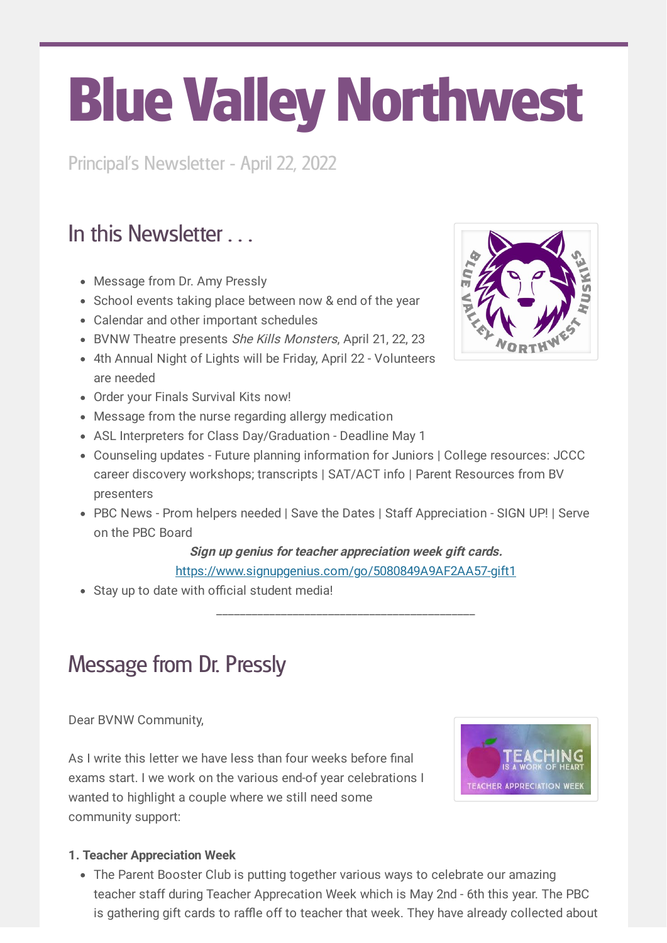# Blue Valley Northwest

Principal's Newsletter - April 22, 2022

# In this Newsletter

- Message from Dr. Amy Pressly
- School events taking place between now & end of the year
- Calendar and other important schedules
- BVNW Theatre presents She Kills Monsters, April 21, 22, 23
- 4th Annual Night of Lights will be Friday, April 22 Volunteers are needed
- Order your Finals Survival Kits now!
- Message from the nurse regarding allergy medication
- ASL Interpreters for Class Day/Graduation Deadline May 1
- Counseling updates Future planning information for Juniors | College resources: JCCC career discovery workshops; transcripts | SAT/ACT info | Parent Resources from BV presenters
- PBC News Prom helpers needed | Save the Dates | Staff Appreciation SIGN UP! | Serve on the PBC Board

#### **Sign up genius for teacher appreciation week gift cards.** <https://www.signupgenius.com/go/5080849A9AF2AA57-gift1>

Stay up to date with official student media!

\_\_\_\_\_\_\_\_\_\_\_\_\_\_\_\_\_\_\_\_\_\_\_\_\_\_\_\_\_\_\_\_\_\_\_\_\_\_\_\_\_\_\_\_

### Message from Dr. Pressly

Dear BVNW Community,

As I write this letter we have less than four weeks before final exams start. I we work on the various end-of year celebrations I wanted to highlight a couple where we still need some community support:



#### **1. Teacher Appreciation Week**

The Parent Booster Club is putting together various ways to celebrate our amazing teacher staff during Teacher Apprecation Week which is May 2nd - 6th this year. The PBC is gathering gift cards to raffle off to teacher that week. They have already collected about

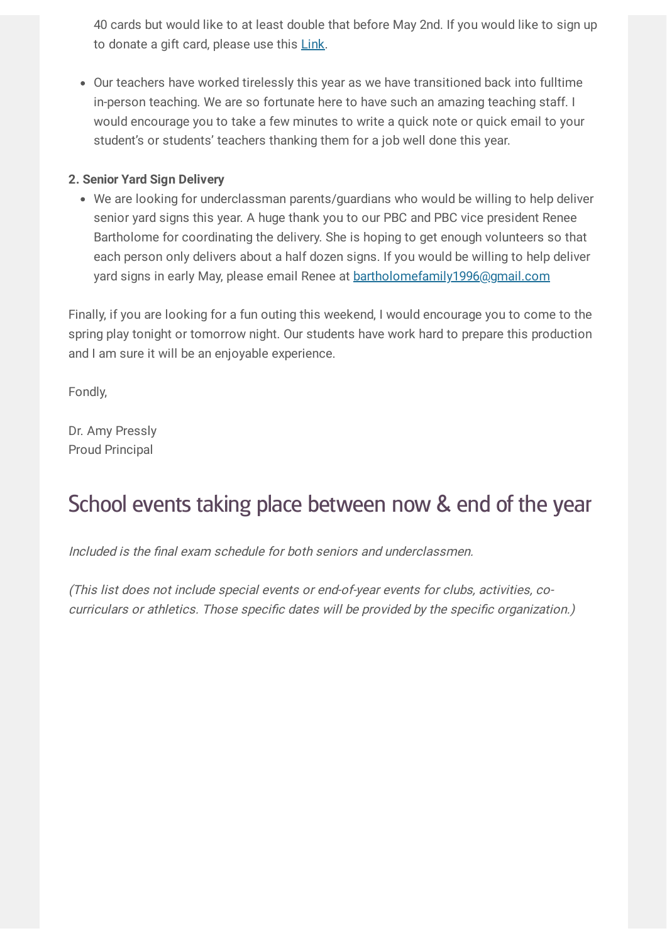40 cards but would like to at least double that before May 2nd. If you would like to sign up to donate a gift card, please use this [Link.](https://www.signupgenius.com/go/5080849A9AF2AA57-gift1)

Our teachers have worked tirelessly this year as we have transitioned back into fulltime in-person teaching. We are so fortunate here to have such an amazing teaching staff. I would encourage you to take a few minutes to write a quick note or quick email to your student's or students' teachers thanking them for a job well done this year.

#### **2. Senior Yard Sign Delivery**

We are looking for underclassman parents/guardians who would be willing to help deliver senior yard signs this year. A huge thank you to our PBC and PBC vice president Renee Bartholome for coordinating the delivery. She is hoping to get enough volunteers so that each person only delivers about a half dozen signs. If you would be willing to help deliver yard signs in early May, please email Renee at [bartholomefamily1996@gmail.com](mailto:bartholomefamily1996@gmail.com)

Finally, if you are looking for a fun outing this weekend, I would encourage you to come to the spring play tonight or tomorrow night. Our students have work hard to prepare this production and I am sure it will be an enjoyable experience.

Fondly,

Dr. Amy Pressly Proud Principal

### School events taking place between now & end of the year

Included is the final exam schedule for both seniors and underclassmen.

(This list does not include special events or end-of-year events for clubs, activities, cocurriculars or athletics. Those specific dates will be provided by the specific organization.)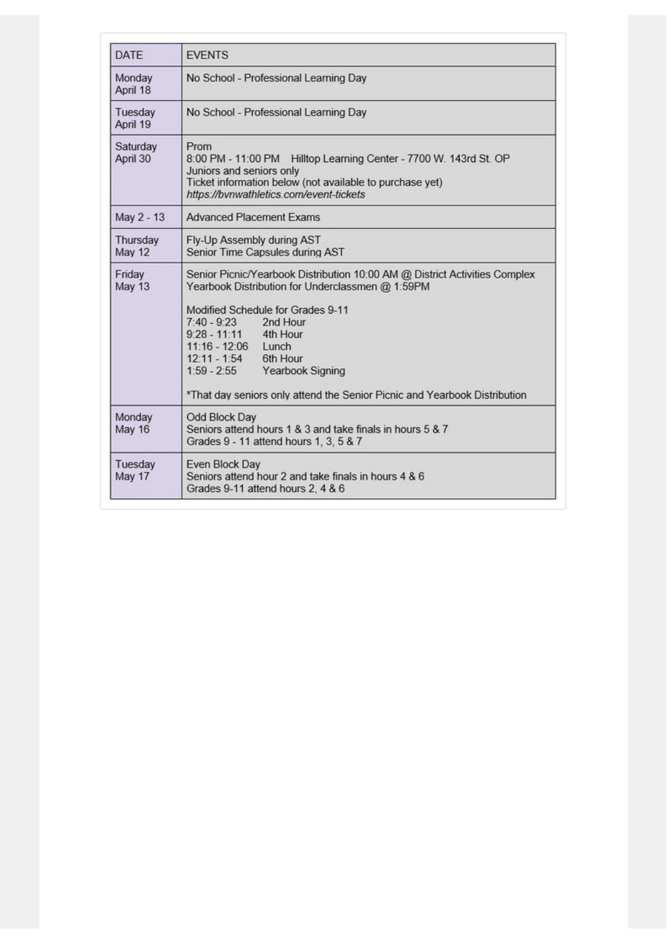| <b>DATE</b>               | <b>EVENTS</b>                                                                                                                                                                                                                                                                                                                                                                                 |  |  |  |
|---------------------------|-----------------------------------------------------------------------------------------------------------------------------------------------------------------------------------------------------------------------------------------------------------------------------------------------------------------------------------------------------------------------------------------------|--|--|--|
| Monday<br>April 18        | No School - Professional Learning Day                                                                                                                                                                                                                                                                                                                                                         |  |  |  |
| Tuesday<br>April 19       | No School - Professional Learning Day                                                                                                                                                                                                                                                                                                                                                         |  |  |  |
| Saturday<br>April 30      | Prom<br>8:00 PM - 11:00 PM Hilltop Learning Center - 7700 W. 143rd St. OP<br>Juniors and seniors only<br>Ticket information below (not available to purchase yet)<br>https://bvnwathletics.com/event-tickets                                                                                                                                                                                  |  |  |  |
| May 2 - 13                | <b>Advanced Placement Exams</b>                                                                                                                                                                                                                                                                                                                                                               |  |  |  |
| Thursday<br><b>May 12</b> | Fly-Up Assembly during AST<br>Senior Time Capsules during AST                                                                                                                                                                                                                                                                                                                                 |  |  |  |
| Friday<br><b>May 13</b>   | Senior Picnic/Yearbook Distribution 10:00 AM @ District Activities Complex<br>Yearbook Distribution for Underclassmen @ 1:59PM<br>Modified Schedule for Grades 9-11<br>7:40 - 9:23 2nd Hour<br>9:28 - 11:11 4th Hour<br>11:16 - 12:06 Lunch<br>2nd Hour<br>12:11 - 1:54 6th Hour<br>1:59 - 2:55 Yearbook Signing<br>*That day seniors only attend the Senior Picnic and Yearbook Distribution |  |  |  |
| Monday<br><b>May 16</b>   | Odd Block Day<br>Seniors attend hours 1 & 3 and take finals in hours 5 & 7<br>Grades 9 - 11 attend hours 1, 3, 5 & 7                                                                                                                                                                                                                                                                          |  |  |  |
| Tuesday<br>May 17         | Even Block Day<br>Seniors attend hour 2 and take finals in hours 4 & 6<br>Grades 9-11 attend hours 2, 4 & 6                                                                                                                                                                                                                                                                                   |  |  |  |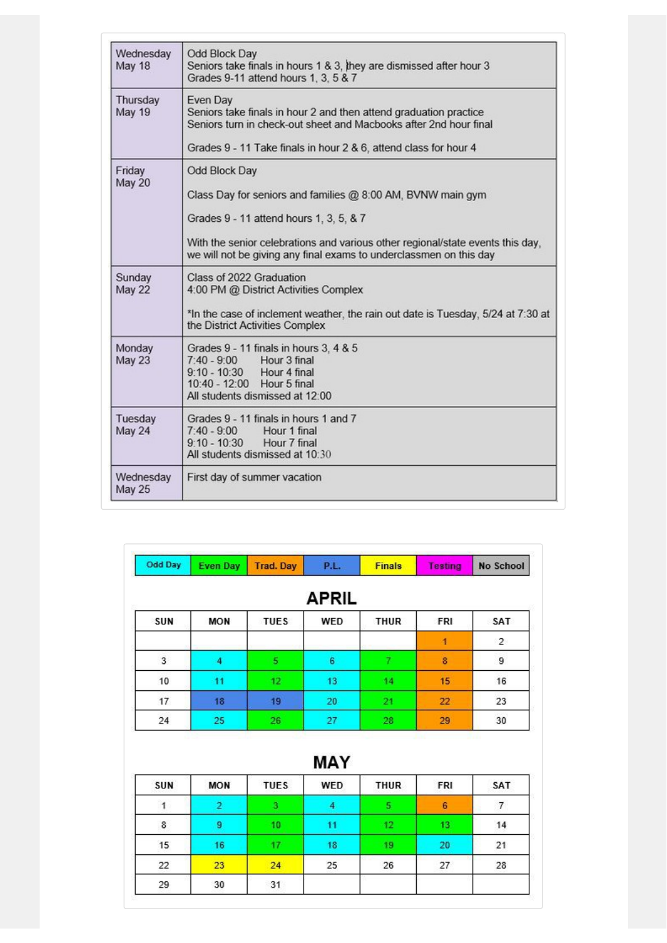| Wednesday<br><b>May 18</b> | Odd Block Day<br>Seniors take finals in hours 1 & 3, they are dismissed after hour 3<br>Grades 9-11 attend hours 1, 3, 5 & 7                                                                                                                                                    |
|----------------------------|---------------------------------------------------------------------------------------------------------------------------------------------------------------------------------------------------------------------------------------------------------------------------------|
| Thursday<br><b>May 19</b>  | Even Day<br>Seniors take finals in hour 2 and then attend graduation practice<br>Seniors turn in check-out sheet and Macbooks after 2nd hour final<br>Grades 9 - 11 Take finals in hour 2 & 6, attend class for hour 4                                                          |
| Friday<br>May 20           | Odd Block Day<br>Class Day for seniors and families @ 8:00 AM, BVNW main gym<br>Grades 9 - 11 attend hours 1, 3, 5, & 7<br>With the senior celebrations and various other regional/state events this day,<br>we will not be giving any final exams to underclassmen on this day |
| Sunday<br>May 22           | Class of 2022 Graduation<br>4:00 PM @ District Activities Complex<br>*In the case of inclement weather, the rain out date is Tuesday, 5/24 at 7:30 at<br>the District Activities Complex                                                                                        |
| Monday<br><b>May 23</b>    | Grades 9 - 11 finals in hours 3, 4 & 5<br>7:40 - 9:00 Hour 3 final<br>9:10 - 10:30 Hour 4 final<br>10:40 - 12:00 Hour 5 final<br>All students dismissed at 12:00                                                                                                                |
| Tuesday<br>May 24          | Grades 9 - 11 finals in hours 1 and 7<br>$7:40 - 9:00$<br>Hour 1 final<br>9:10 - 10:30 Hour 7 final<br>All students dismissed at 10:30                                                                                                                                          |
| Wednesday<br><b>May 25</b> | First day of summer vacation                                                                                                                                                                                                                                                    |

| <b>Odd Day</b>          | <b>Even Day</b> | <b>Trad. Day</b> | <b>P.L.</b>  | <b>Finals</b> | <b>Testing</b> | No School      |
|-------------------------|-----------------|------------------|--------------|---------------|----------------|----------------|
|                         |                 |                  | <b>APRIL</b> |               |                |                |
| SUN                     | <b>MON</b>      | <b>TUES</b>      | WED          | <b>THUR</b>   | <b>FRI</b>     | SAT            |
|                         |                 |                  |              |               | 1              | $\overline{2}$ |
| $\overline{\mathbf{3}}$ |                 | 5                | 6            |               | 8              | 9              |
| 10                      | 11              | 12               | 13           | 14            | 15             | 16             |
| 17                      | 18              | 19               | 20           | 21            | 22             | 23             |
| 24                      | 25              | 26               | 27           | 28            | 29             | 30             |

| <b>MAY</b> |            |             |     |      |                 |     |
|------------|------------|-------------|-----|------|-----------------|-----|
| SUN        | <b>MON</b> | <b>TUES</b> | WED | THUR | <b>FRI</b>      | SAT |
|            |            |             |     | 5    | $6\phantom{1}6$ | 7   |
| 8          | 9          | 10          |     | 12   | 13              | 14  |
| 15         | 16         | 17          | 18  | 19   | 20              | 21  |
| 22         | 23         | 24          | 25  | 26   | 27              | 28  |
| 29         | 30         | 31          |     |      |                 |     |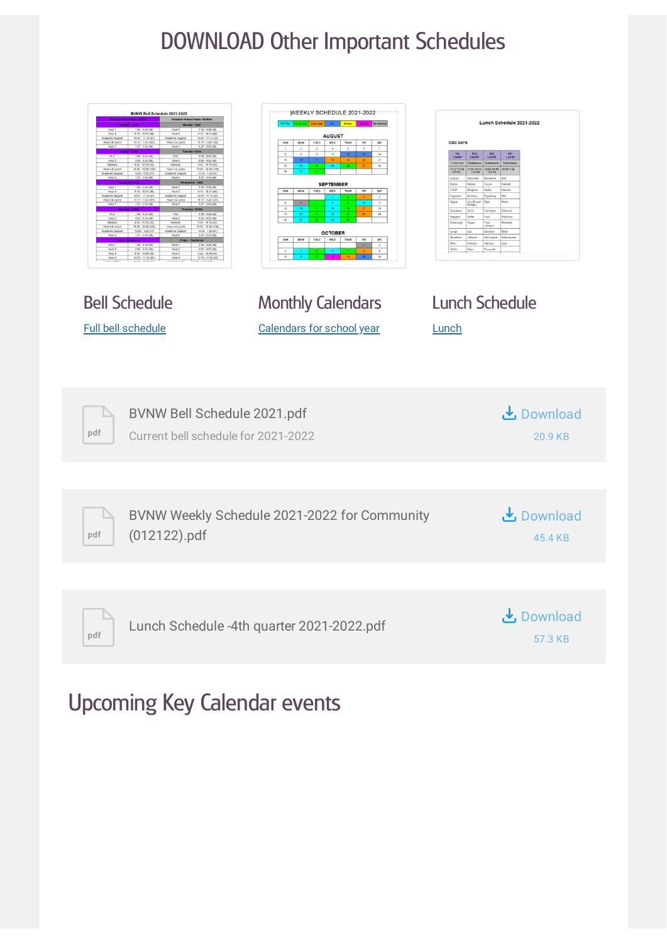# DOWNLOAD Other Important Schedules

| BVNW Bell Schedule 2021-2022<br>Hour <sup>®</sup><br>Hour 3<br>Hour:<br>$9.13 - 10.41(8)$<br>four 5 & Lune<br>$x \times 5$ &<br>PLC<br>Hour 2<br>Hour:<br>Hour 4 & Lund<br>Hour 4 & Lur<br>$1225 - 122$<br>four 5 & Lun<br>$11:17 - 122$<br>H <sub>0</sub><br>four 4 & L<br>four 4 & Lu<br>020-1220<br>Hour 1<br>$7.40 - 8.26 (46)$<br>Hour 2<br>$8.31 - 9.17(46)$<br>Hour:<br>8:35 - 9:25 (5)<br>Hour 3<br>Hour 4<br>Hour 3<br>Hour 4<br>$9.22 - 10.08(4)$<br>9:30. | WEEKLY SCHEDULE 2021-2022<br>P.L. Finals Testing No School<br><b>AUGUST</b><br><b>MON</b><br><b>TUES</b><br>WED<br>14<br>15<br>$21 -$<br>28 <sup>1</sup><br><b>SEPTEMBER</b><br>TUES  <br>WED THUR<br><b>MON</b><br>SAT<br>Ħ.<br>$^{\rm 12}$<br>10<br>19<br>25 <sup>2</sup><br><b>OCTOBER</b><br>WED<br><b>MON</b><br><b>TUES</b><br><b>SAT</b><br><b>FRI</b><br>$\overline{a}$<br>$\bullet$ | Lunch Schedule 2021-2022<br>ODD DAYS<br>3rd<br>Lunch<br>12:58-1:22<br>$11:50.12:15$<br>(12:20)<br>$\begin{array}{r} 12:23 \cdot 12:43 \\ (12:53) \end{array}$<br>(11:47)<br>(11:47)<br>CDOP<br><b>Bengeron</b><br>Copelan<br>Haggert<br>egns.<br>Meachan<br>Mikel<br>Manans |
|----------------------------------------------------------------------------------------------------------------------------------------------------------------------------------------------------------------------------------------------------------------------------------------------------------------------------------------------------------------------------------------------------------------------------------------------------------------------|----------------------------------------------------------------------------------------------------------------------------------------------------------------------------------------------------------------------------------------------------------------------------------------------------------------------------------------------------------------------------------------------|-----------------------------------------------------------------------------------------------------------------------------------------------------------------------------------------------------------------------------------------------------------------------------|
| <b>Bell Schedule</b>                                                                                                                                                                                                                                                                                                                                                                                                                                                 | <b>Monthly Calendars</b>                                                                                                                                                                                                                                                                                                                                                                     | <b>Lunch Schedule</b>                                                                                                                                                                                                                                                       |
| <b>Full bell schedule</b>                                                                                                                                                                                                                                                                                                                                                                                                                                            | <b>Calendars for school year</b>                                                                                                                                                                                                                                                                                                                                                             | Lunch                                                                                                                                                                                                                                                                       |
| BVNW Bell Schedule 2021.pdf<br>pdf<br>Current bell schedule for 2021-2022                                                                                                                                                                                                                                                                                                                                                                                            |                                                                                                                                                                                                                                                                                                                                                                                              | $\frac{1}{2}$ , Download<br>20.9 KB                                                                                                                                                                                                                                         |
|                                                                                                                                                                                                                                                                                                                                                                                                                                                                      |                                                                                                                                                                                                                                                                                                                                                                                              |                                                                                                                                                                                                                                                                             |
| $(012122)$ .pdf<br>pdf                                                                                                                                                                                                                                                                                                                                                                                                                                               | BVNW Weekly Schedule 2021-2022 for Community                                                                                                                                                                                                                                                                                                                                                 | <b>と</b> Download<br>45.4 KB                                                                                                                                                                                                                                                |
|                                                                                                                                                                                                                                                                                                                                                                                                                                                                      |                                                                                                                                                                                                                                                                                                                                                                                              |                                                                                                                                                                                                                                                                             |
| pdf                                                                                                                                                                                                                                                                                                                                                                                                                                                                  | Lunch Schedule -4th quarter 2021-2022.pdf                                                                                                                                                                                                                                                                                                                                                    | <b>と</b> Download<br>57.3 KB                                                                                                                                                                                                                                                |

# Upcoming Key Calendar events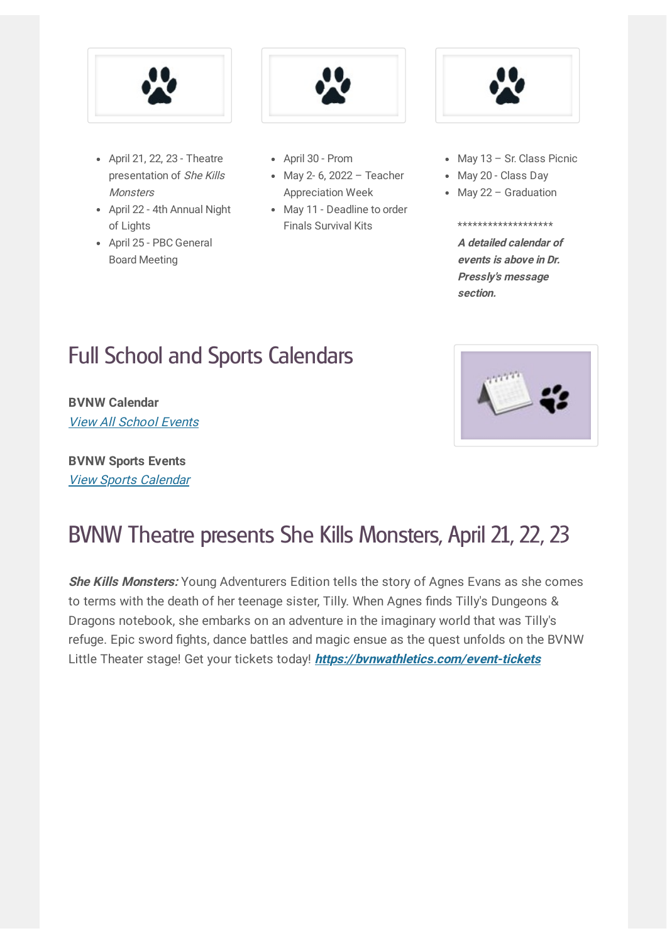

- April 21, 22, 23 Theatre presentation of She Kills **Monsters**
- April 22 4th Annual Night of Lights
- April 25 PBC General Board Meeting



- April 30 Prom
- May 2- 6, 2022 Teacher Appreciation Week
- May 11 Deadline to order Finals Survival Kits



- May 13 Sr. Class Picnic
- May 20 Class Day
- May 22 Graduation

#### \*\*\*\*\*\*\*\*\*\*\*\*\*\*\*\*\*\*\*

**A detailed calendar of events is above in Dr. Pressly's message section.**

# Full School and Sports Calendars

**BVNW Calendar** View All [School](https://www.bluevalleyk12.org/Page/23188#calendar41561/20210813/month) Events

**BVNW Sports Events** View Sports [Calendar](http://www.easternkansasleague.org/g5-bin/client.cgi?G5genie=997&school_id=9)



### BVNW Theatre presents She Kills Monsters, April 21, 22, 23

**She Kills Monsters:** Young Adventurers Edition tells the story of Agnes Evans as she comes to terms with the death of her teenage sister, Tilly. When Agnes finds Tilly's Dungeons & Dragons notebook, she embarks on an adventure in the imaginary world that was Tilly's refuge. Epic sword fights, dance battles and magic ensue as the quest unfolds on the BVNW Little Theater stage! Get your tickets today! **https:/ [bvnwathletics.com/event-tickets](https://bvnwathletics.com/event-tickets)**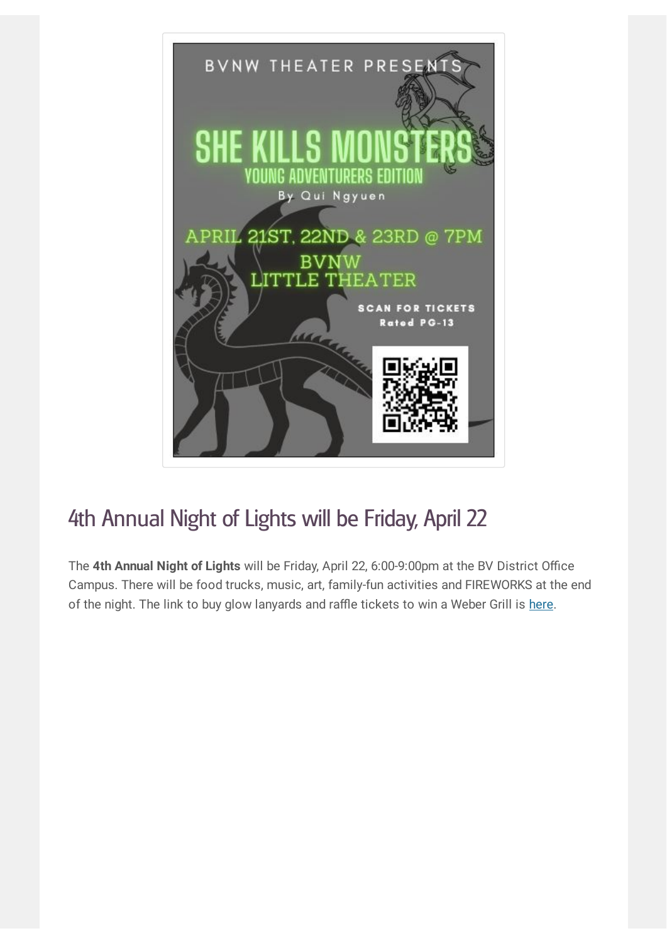

# 4th Annual Night of Lights will be Friday, April 22

The **4th Annual Night of Lights** will be Friday, April 22, 6:00-9:00pm at the BV District Office Campus. There will be food trucks, music, art, family-fun activities and FIREWORKS at the end of the night. The link to buy glow lanyards and raffle tickets to win a Weber Grill is [here](https://fundbv.org/nol).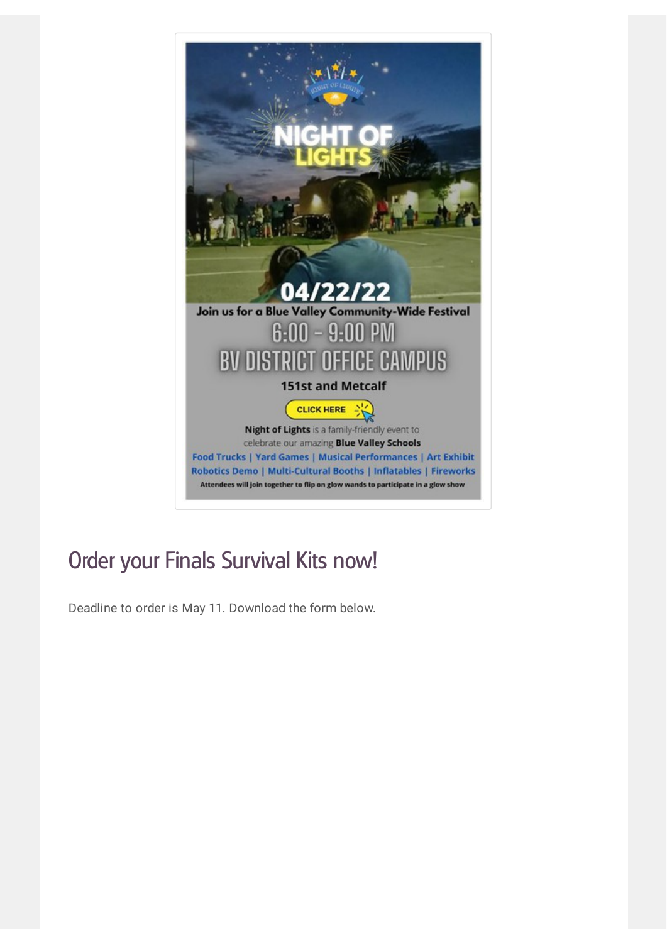

# Order your Finals Survival Kits now!

Deadline to order is May 11. Download the form below.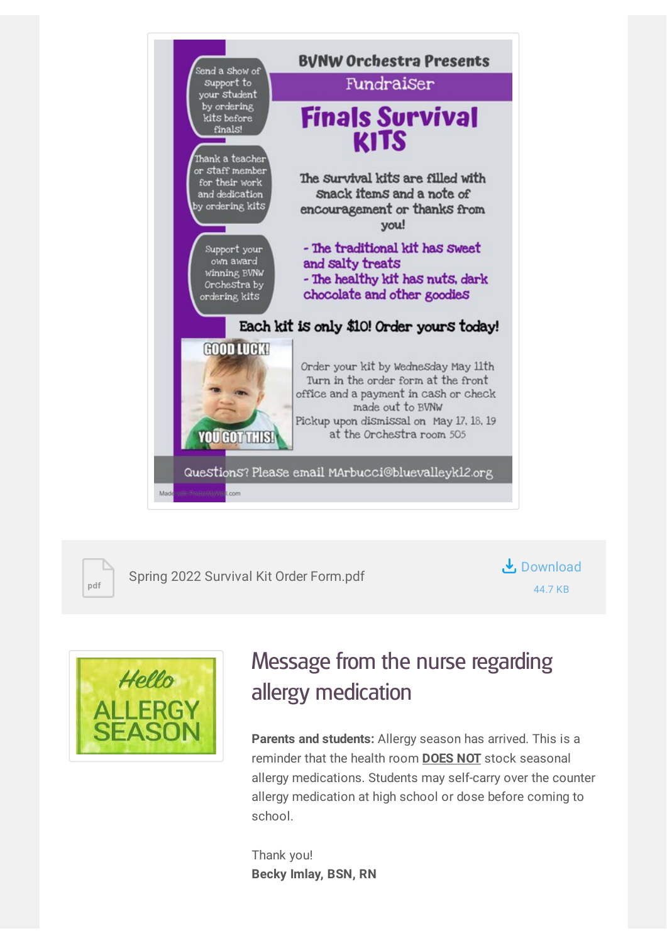



Spring 2022 Survival Kit Order Form.pdf





# Message from the nurse regarding allergy medication

**Parents and students:** Allergy season has arrived. This is a reminder that the health room **DOES NOT** stock seasonal allergy medications. Students may self-carry over the counter allergy medication at high school or dose before coming to school.

Thank you! **Becky Imlay, BSN, RN**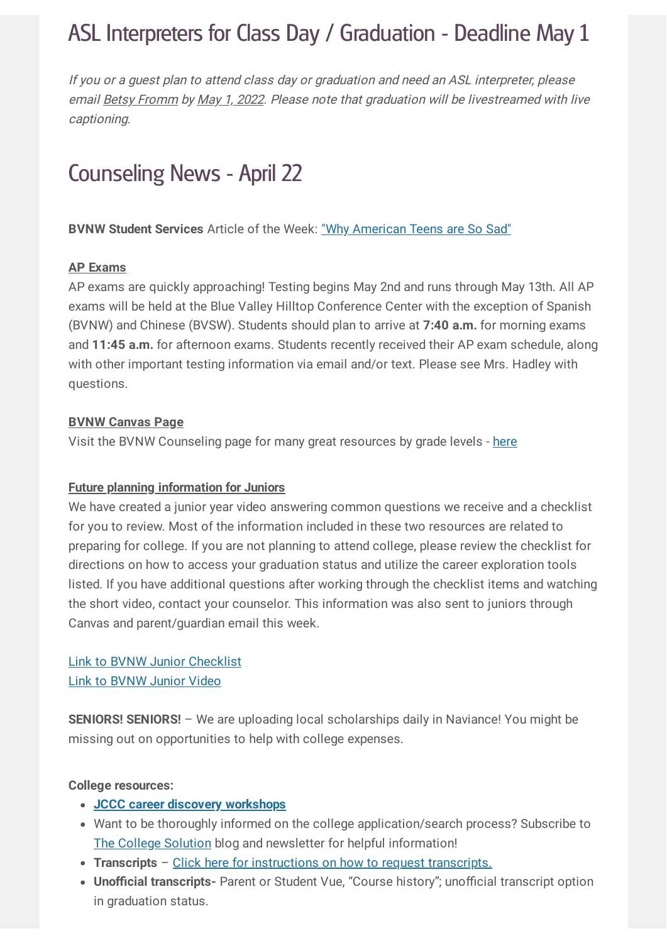### ASL Interpreters for Class Day / Graduation - Deadline May 1

If you or <sup>a</sup> guest plan to attend class day or graduation and need an ASL interpreter, please email Betsy Fromm by May 1, 2022. Please note that graduation will be livestreamed with live captioning.

### Counseling News - April 22

**BVNW Student Services** Article of the Week: "Why [American](https://www.theatlantic.com/newsletters/archive/2022/04/american-teens-sadness-depression-anxiety/629524/) Teens are So Sad"

#### **AP Exams**

AP exams are quickly approaching! Testing begins May 2nd and runs through May 13th. All AP exams will be held at the Blue Valley Hilltop Conference Center with the exception of Spanish (BVNW) and Chinese (BVSW). Students should plan to arrive at **7:40 a.m.** for morning exams and **11:45 a.m.** for afternoon exams. Students recently received their AP exam schedule, along with other important testing information via email and/or text. Please see Mrs. Hadley with questions.

#### **BVNW Canvas Page**

Visit the BVNW Counseling page for many great resources by grade levels - [here](https://bvusd.instructure.com/courses/70851)

#### **Future planning information for Juniors**

We have created a junior year video answering common questions we receive and a checklist for you to review. Most of the information included in these two resources are related to preparing for college. If you are not planning to attend college, please review the checklist for directions on how to access your graduation status and utilize the career exploration tools listed. If you have additional questions after working through the checklist items and watching the short video, contact your counselor. This information was also sent to juniors through Canvas and parent/guardian email this week.

#### Link to BVNW Junior [Checklist](https://docs.google.com/document/d/1nf7mCs-McLv2YdBTScuE9QHfiSkL4kwUtnBKATuH65Q/template/preview) Link to [BVNW](https://youtu.be/4oRBIt9_rPY) Junior Video

**SENIORS! SENIORS!** – We are uploading local scholarships daily in Naviance! You might be missing out on opportunities to help with college expenses.

#### **College resources:**

- **JCCC career discovery [workshops](https://www.jccc.edu/student-resources/career-development/discover/free-workshops.html)**
- Want to be thoroughly informed on the college application/search process? Subscribe to The College [Solution](http://www.thecollegesolution.com/getting-rejected-elite-universities/) blog and newsletter for helpful information!
- **Transcripts** Click here for [instructions](https://drive.google.com/file/d/1Np4w5UI-ehreD2RqSTlH8m0Mp5SHVFxV/view?usp=sharing) on how to request transcripts.
- **Unofficial transcripts-** Parent or Student Vue, "Course history"; unofficial transcript option in graduation status.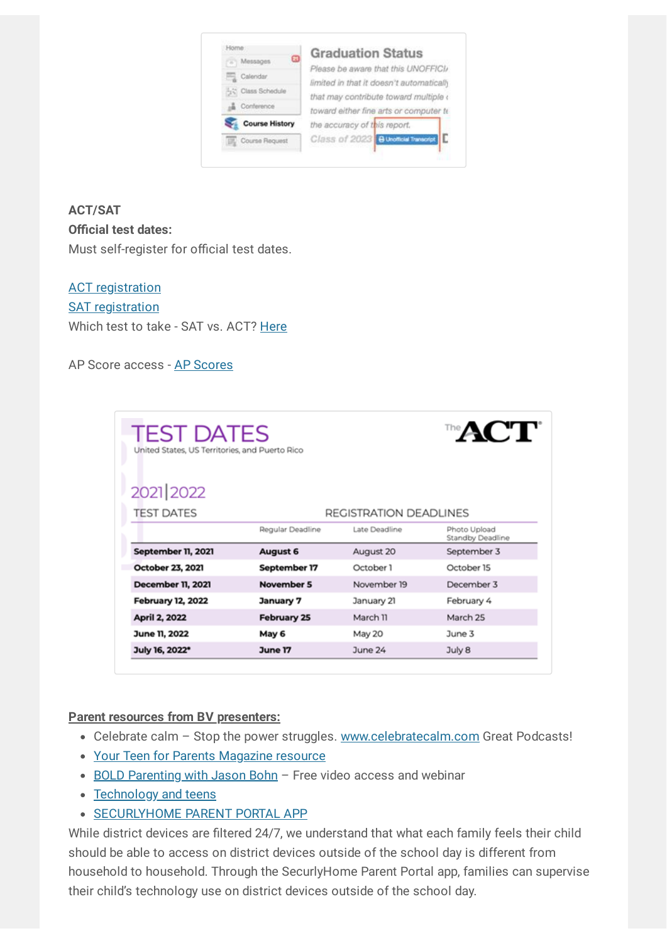| ධ<br>Messages         | <b>Graduation Status</b>                                                        |  |  |
|-----------------------|---------------------------------------------------------------------------------|--|--|
| Calendar              | Please be aware that this UNOFFICI/<br>limited in that it doesn't automatically |  |  |
| 52 Class Schedule     | that may contribute toward multiple (                                           |  |  |
| Conference            | toward either fine arts or computer to                                          |  |  |
| <b>Course History</b> | the accuracy of this report.                                                    |  |  |
| Course Request        | г<br>Class of 2023 B Unofficial Transcript                                      |  |  |

#### **ACT/SAT Official test dates:** Must self-register for official test dates.

**ACT** [registration](http://www.act.org/) **SAT [registration](https://collegereadiness.collegeboard.org/sat/register)** Which test to take - SAT vs. ACT? [Here](https://www.princetonreview.com/college/sat-vs-act-infographic)

#### AP Score access - AP [Scores](https://apscore.collegeboard.org/scores#/)

| <b>TEST DATES</b><br>United States, US Territories, and Puerto Rico |                    |               | ™ACT`                            |  |  |
|---------------------------------------------------------------------|--------------------|---------------|----------------------------------|--|--|
| 2021 2022                                                           |                    |               |                                  |  |  |
| <b>TEST DATES</b><br>REGISTRATION DEADLINES                         |                    |               |                                  |  |  |
|                                                                     | Regular Deadline   | Late Deadline | Photo Upload<br>Standby Deadline |  |  |
| September 11, 2021                                                  | August 6           | August 20     | September 3                      |  |  |
| October 23, 2021                                                    | September 17       | October 1     | October 15                       |  |  |
| <b>December 11, 2021</b>                                            | November 5         | November 19   | December 3                       |  |  |
| <b>February 12, 2022</b>                                            | January 7          | January 21    | February 4                       |  |  |
| April 2, 2022                                                       | <b>February 25</b> | March 11      | March 25                         |  |  |
| June 11, 2022                                                       | May 6              | May 20        | June 3                           |  |  |
| July 16, 2022*                                                      | June 17            | June 24       | July 8                           |  |  |

#### **Parent resources from BV presenters:**

- Celebrate calm Stop the power struggles. [www.celebratecalm.com](http://www.celebratecalm.com/) Great Podcasts!
- Your Teen for Parents [Magazine](https://yourteenmag.com/) resource
- BOLD [Parenting](https://www.eventbrite.com/e/bold-parenting-adolescents-episode-4-tickets-165630775107) with Jason Bohn Free video access and webinar
- [Technology](https://www.loveandlogic.com/blogs/our-blog/help-technology-is-already-a-problem) and teens
- **[SECURLYHOME](https://www.bluevalleyk12.org/Page/34492) PARENT PORTAL APP**

While district devices are filtered 24/7, we understand that what each family feels their child should be able to access on district devices outside of the school day is different from household to household. Through the SecurlyHome Parent Portal app, families can supervise their child's technology use on district devices outside of the school day.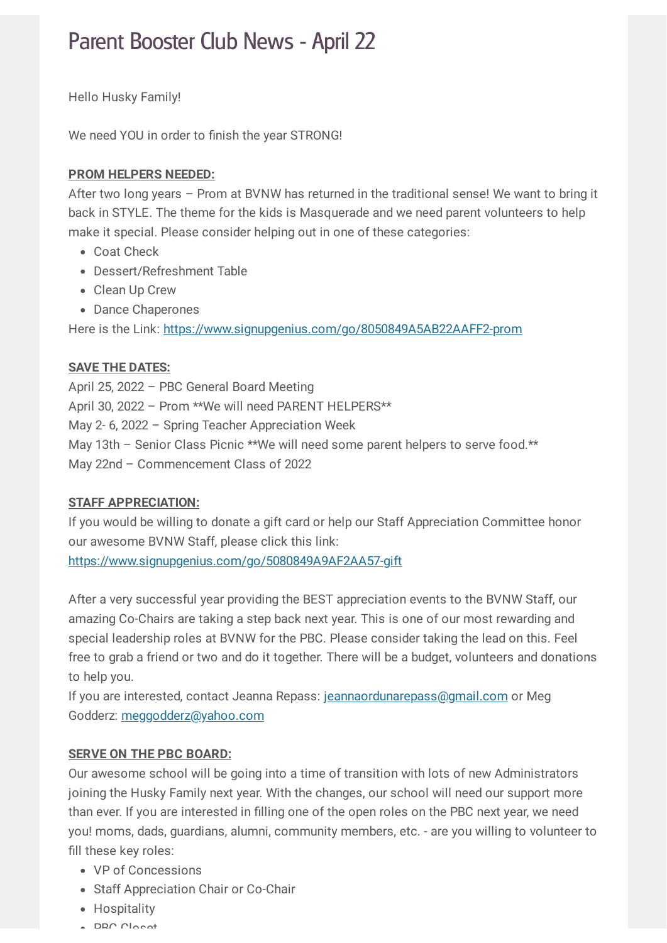### Parent Booster Club News - April 22

Hello Husky Family!

We need YOU in order to finish the year STRONG!

#### **PROM HELPERS NEEDED:**

After two long years – Prom at BVNW has returned in the traditional sense! We want to bring it back in STYLE. The theme for the kids is Masquerade and we need parent volunteers to help make it special. Please consider helping out in one of these categories:

- Coat Check
- Dessert/Refreshment Table
- Clean Up Crew
- Dance Chaperones

Here is the Link: <https://www.signupgenius.com/go/8050849A5AB22AAFF2-prom>

#### **SAVE THE DATES:**

April 25, 2022 – PBC General Board Meeting April 30, 2022 – Prom \*\*We will need PARENT HELPERS\*\* May 2- 6, 2022 – Spring Teacher Appreciation Week May 13th – Senior Class Picnic \*\*We will need some parent helpers to serve food.\*\* May 22nd – Commencement Class of 2022

#### **STAFF APPRECIATION:**

If you would be willing to donate a gift card or help our Staff Appreciation Committee honor our awesome BVNW Staff, please click this link:

<https://www.signupgenius.com/go/5080849A9AF2AA57-gift>

After a very successful year providing the BEST appreciation events to the BVNW Staff, our amazing Co-Chairs are taking a step back next year. This is one of our most rewarding and special leadership roles at BVNW for the PBC. Please consider taking the lead on this. Feel free to grab a friend or two and do it together. There will be a budget, volunteers and donations to help you.

If you are interested, contact Jeanna Repass: [jeannaordunarepass@gmail.com](mailto:jeannaordunarepass@gmail.com) or Meg Godderz: [meggodderz@yahoo.com](mailto:meggodderz@yahoo.com)

#### **SERVE ON THE PBC BOARD:**

Our awesome school will be going into a time of transition with lots of new Administrators joining the Husky Family next year. With the changes, our school will need our support more than ever. If you are interested in filling one of the open roles on the PBC next year, we need you! moms, dads, guardians, alumni, community members, etc. - are you willing to volunteer to fill these key roles:

- VP of Concessions
- Staff Appreciation Chair or Co-Chair
- Hospitality
- $\triangle$  DRC Closet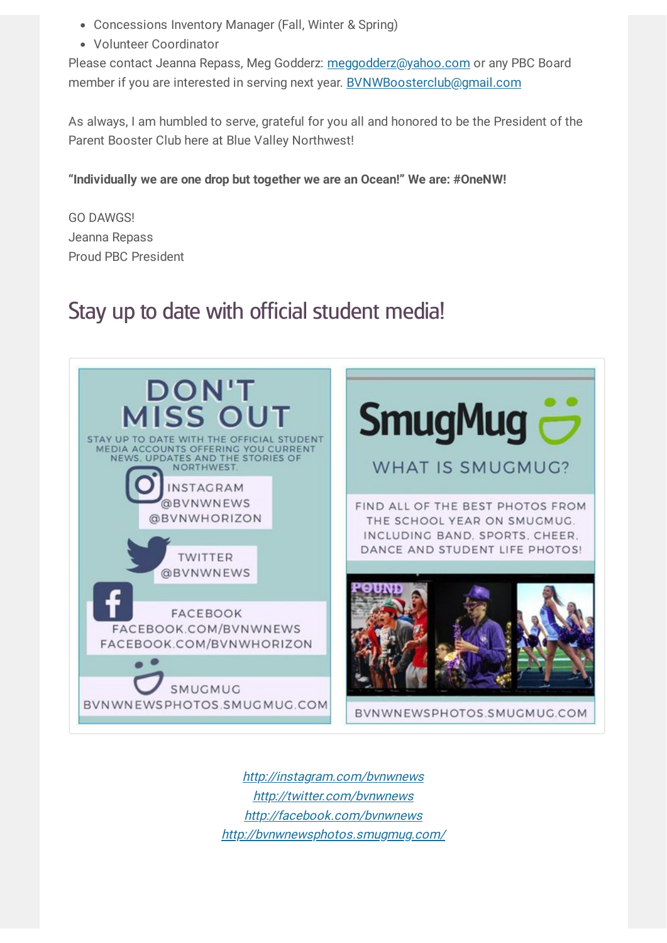- Concessions Inventory Manager (Fall, Winter & Spring)
- Volunteer Coordinator

Please contact Jeanna Repass, Meg Godderz: [meggodderz@yahoo.com](mailto:meggodderz@yahoo.com) or any PBC Board member if you are interested in serving next year. [BVNWBoosterclub@gmail.com](mailto:BVNWBoosterclub@gmail.com)

As always, I am humbled to serve, grateful for you all and honored to be the President of the Parent Booster Club here at Blue Valley Northwest!

**"Individually we are one drop but together we are an Ocean!" We are: #OneNW!**

GO DAWGS! Jeanna Repass Proud PBC President

### Stay up to date with official student media!



http://instagram.com/bynwnews http://[twitter.com/bvnwnews](http://twitter.com/bvnwnews) http://facebook.com/bynwnews http://[bvnwnewsphotos.smugmug.com/](http://bvnwnewsphotos.smugmug.com/)